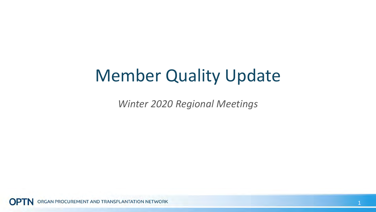### Member Quality Update

*Winter 2020 Regional Meetings*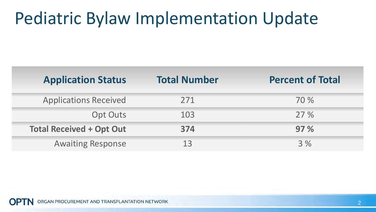### Pediatric Bylaw Implementation Update

| <b>Application Status</b>       | <b>Total Number</b> | <b>Percent of Total</b> |
|---------------------------------|---------------------|-------------------------|
| <b>Applications Received</b>    | 271                 | 70 %                    |
| <b>Opt Outs</b>                 | 103                 | 27%                     |
| <b>Total Received + Opt Out</b> | 374                 | 97%                     |
| <b>Awaiting Response</b>        | 13                  | 3%                      |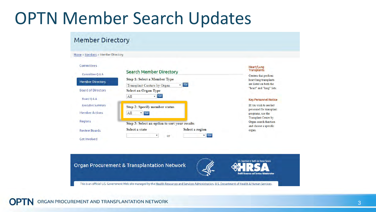#### OPTN Member Search Updates

#### **Member Directory**

Home » Members » Member Directory

#### Committees

|                           | <b>Search Member Directory</b>                | $1122127$ monthly<br><b>Transplants</b>            |  |
|---------------------------|-----------------------------------------------|----------------------------------------------------|--|
| Committee O & A           | <b>Step 1: Select a Member Type</b>           | Centers that perform<br>heart/lung transplants     |  |
| <b>Member Directory</b>   | $\nabla$ Co<br>Transplant Centers by Organ    | are listed on both the                             |  |
| <b>Board of Directors</b> | <b>Select an Organ Type</b>                   | "heart" and "lung" lists.                          |  |
| Board Q & A               | Co<br>All                                     | <b>Key Personnel Notice</b>                        |  |
| <b>Executive Summary</b>  | <b>Step 2: Specify member status</b>          | If you wish to see key<br>personnel for transplant |  |
| <b>Member Actions</b>     | All<br>$V$ $Go$                               | programs, use the<br><b>Transplant Center by</b>   |  |
| Regions                   | Step 3: Select an option to sort your results | Organ search function                              |  |
| <b>Review Boards</b>      | Select a region<br>Select a state             | and choose a specific<br>organ.                    |  |
| <b>Get Involved</b>       | $V$ Go<br>or                                  |                                                    |  |

Heart/Lung

U.S. Department of Health and Human Services

Organ Procurement & Transplantation Network



This is an official U.S. Government Web site managed by the Health Resources and Services Administration, U.S. Department of Health & Human Services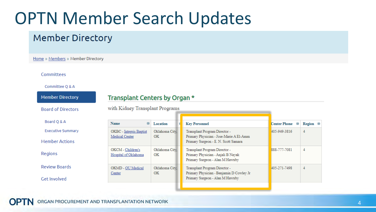### OPTN Member Search Updates

#### **Member Directory**

Home » Members » Member Directory

#### Committees

#### Committee Q & A

| <b>Member Directory</b>                           | Transplant Centers by Organ *             |                             |                                                                                                                  |                          |        |  |  |
|---------------------------------------------------|-------------------------------------------|-----------------------------|------------------------------------------------------------------------------------------------------------------|--------------------------|--------|--|--|
| <b>Board of Directors</b>                         | with Kidney Transplant Programs           |                             |                                                                                                                  |                          |        |  |  |
| Board Q & A                                       | Name<br>⊕                                 | Location                    | <b>Key Personnel</b>                                                                                             | <b>Center Phone</b><br>Θ | Region |  |  |
| <b>Executive Summary</b><br><b>Member Actions</b> | OKBC - Integris Baptist<br>Medical Center | Oklahoma City,<br><b>OK</b> | Transplant Program Director -<br>Primary Physician - Jose-Marie A E1-Amm<br>Primary Surgeon - E. N. Scott Samara | 405-949-3816             | 4      |  |  |
| Regions                                           | OKCM - Children's<br>Hospital of Oklahoma | Oklahoma City,<br>OK        | Transplant Program Director -<br>Primary Physician - Anjali B Nayak<br>Primary Surgeon - Alan M Hawxby           | 888-777-7081             | 4      |  |  |
| <b>Review Boards</b>                              | OKMD - OU Medical<br>Center               | Oklahoma City,<br>OK        | Transplant Program Director -<br>Primary Physician - Benjamin D Cowley Jr<br>Primary Surgeon - Alan M Hawxby     | 405-271-7498             | 4      |  |  |
| <b>Get Involved</b>                               |                                           |                             |                                                                                                                  |                          |        |  |  |

 $\bullet$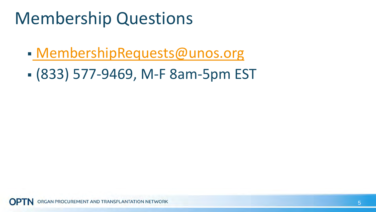### Membership Questions

- [MembershipRequests@unos.org](mailto:MembershipRequests@unos.org)
- (833) 577-9469, M-F 8am-5pm EST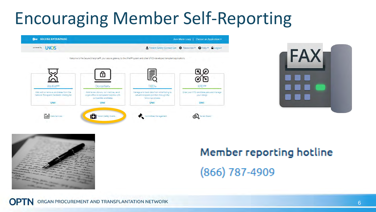## Encouraging Member Self-Reporting





#### Member reporting hotline  $(866)$  787-4909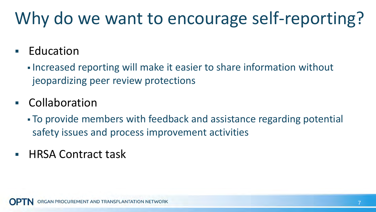# Why do we want to encourage self-reporting?

#### Education

**Increased reporting will make it easier to share information without** jeopardizing peer review protections

#### Collaboration

- To provide members with feedback and assistance regarding potential safety issues and process improvement activities
- HRSA Contract task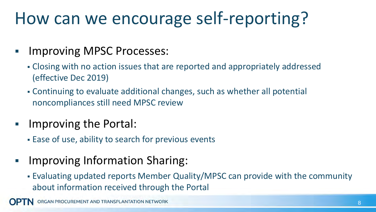## How can we encourage self-reporting?

#### Improving MPSC Processes:

- Closing with no action issues that are reported and appropriately addressed (effective Dec 2019)
- Continuing to evaluate additional changes, such as whether all potential noncompliances still need MPSC review
- Improving the Portal:
	- Ease of use, ability to search for previous events
- Improving Information Sharing:
	- Evaluating updated reports Member Quality/MPSC can provide with the community about information received through the Portal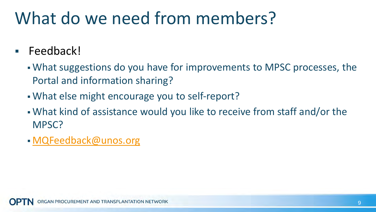## What do we need from members?

- Feedback!
	- What suggestions do you have for improvements to MPSC processes, the Portal and information sharing?
	- What else might encourage you to self-report?
	- What kind of assistance would you like to receive from staff and/or the MPSC?
	- [MQFeedback@unos.org](mailto:MQFeedback@unos.org)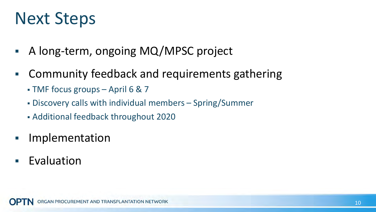### Next Steps

- A long-term, ongoing MQ/MPSC project
- Community feedback and requirements gathering
	- TMF focus groups April 6 & 7
	- Discovery calls with individual members Spring/Summer
	- Additional feedback throughout 2020
- Implementation
- Evaluation